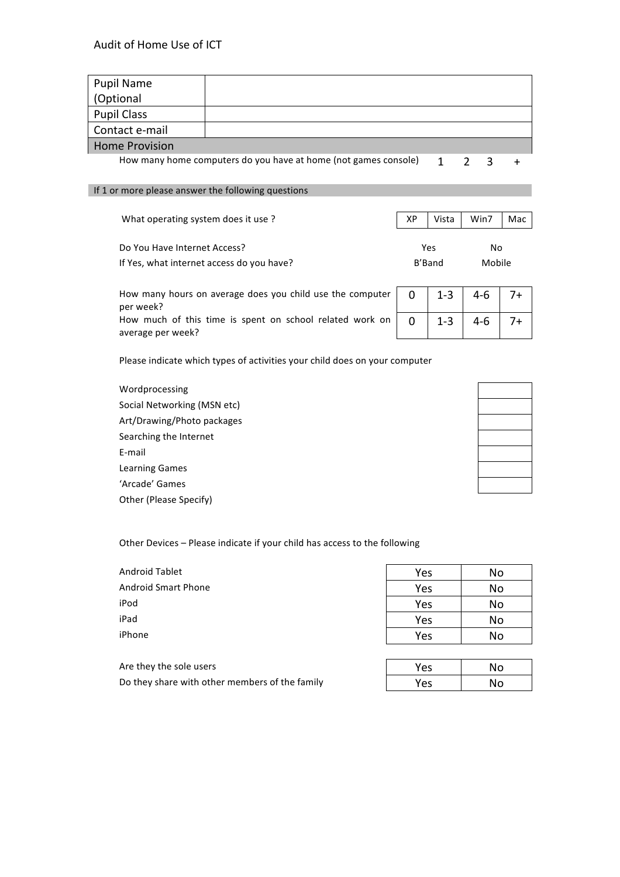| <b>Pupil Name</b>                                  |                                                                 |            |         |                |      |
|----------------------------------------------------|-----------------------------------------------------------------|------------|---------|----------------|------|
| (Optional                                          |                                                                 |            |         |                |      |
| <b>Pupil Class</b>                                 |                                                                 |            |         |                |      |
| Contact e-mail                                     |                                                                 |            |         |                |      |
| <b>Home Provision</b>                              |                                                                 |            |         |                |      |
|                                                    | How many home computers do you have at home (not games console) |            | 1       | 3<br>2         | $+$  |
| If 1 or more please answer the following questions |                                                                 |            |         |                |      |
|                                                    |                                                                 |            |         |                |      |
| What operating system does it use?                 |                                                                 | XP         | Vista   | Win7           | Mac  |
| Do You Have Internet Access?                       |                                                                 | <b>Yes</b> |         | N <sub>0</sub> |      |
| If Yes, what internet access do you have?          |                                                                 | B'Band     |         | Mobile         |      |
|                                                    |                                                                 |            |         |                |      |
| per week?                                          | How many hours on average does you child use the computer       | 0          | $1-3$   | 4-6            | $7+$ |
| average per week?                                  | How much of this time is spent on school related work on        | $\Omega$   | $1 - 3$ | 4-6            | $7+$ |
|                                                    |                                                                 |            |         |                |      |

Please indicate which types of activities your child does on your computer

Wordprocessing Social Networking (MSN etc) Art/Drawing/Photo packages Searching the Internet E-mail Learning Games 'Arcade' Games Other (Please Specify)

Other Devices – Please indicate if your child has access to the following

| Android Tablet          | Yes | No |
|-------------------------|-----|----|
| Android Smart Phone     | Yes | No |
| iPod                    | Yes | No |
| iPad                    | Yes | No |
| iPhone                  | Yes | No |
|                         |     |    |
| Are they the sole users | Yes | No |

Do they share with other members of the family

| Yes | No |
|-----|----|
| Yes | No |